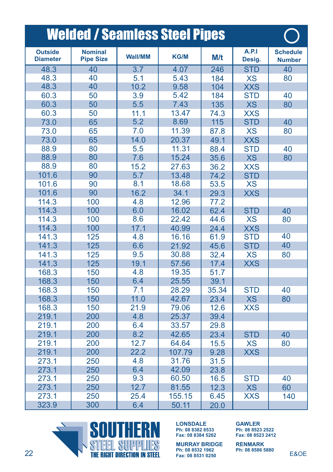|                                   | <b>Welded / Seamless Steel Pipes</b> |                |             |       |                 |                                  |
|-----------------------------------|--------------------------------------|----------------|-------------|-------|-----------------|----------------------------------|
| <b>Outside</b><br><b>Diameter</b> | <b>Nominal</b><br><b>Pipe Size</b>   | <b>Wall/MM</b> | <b>KG/M</b> | M/t   | A.P.1<br>Desig. | <b>Schedule</b><br><b>Number</b> |
| 48.3                              | 40                                   | 3.7            | 4.07        | 246   | <b>STD</b>      | 40                               |
| 48.3                              | 40                                   | 5.1            | 5.43        | 184   | <b>XS</b>       | 80                               |
| 48.3                              | 40                                   | 10.2           | 9.58        | 104   | <b>XXS</b>      |                                  |
| 60.3                              | 50                                   | 3.9            | 5.42        | 184   | <b>STD</b>      | 40                               |
| 60.3                              | 50                                   | 5.5            | 7.43        | 135   | <b>XS</b>       | 80                               |
| 60.3                              | 50                                   | 11.1           | 13.47       | 74.3  | <b>XXS</b>      |                                  |
| 73.0                              | 65                                   | 5.2            | 8.69        | 115   | <b>STD</b>      | 40                               |
| 73.0                              | 65                                   | 7.0            | 11.39       | 87.8  | <b>XS</b>       | 80                               |
| 73.0                              | 65                                   | 14.0           | 20.37       | 49.1  | <b>XXS</b>      |                                  |
| 88.9                              | 80                                   | 5.5            | 11.31       | 88.4  | <b>STD</b>      | 40                               |
| 88.9                              | 80                                   | 7.6            | 15.24       | 35.6  | <b>XS</b>       | 80                               |
| 88.9                              | 80                                   | 15.2           | 27.63       | 36.2  | XXS             |                                  |
| 101.6                             | 90                                   | 5.7            | 13.48       | 74.2  | <b>STD</b>      |                                  |
| 101.6                             | 90                                   | 8.1            | 18.68       | 53.5  | XS              |                                  |
| 101.6                             | 90                                   | 16.2           | 34.1        | 29.3  | <b>XXS</b>      |                                  |
| 114.3                             | 100                                  | 4.8            | 12.96       | 77.2  |                 |                                  |
| 114.3                             | 100                                  | 6.0            | 16.02       | 62.4  | <b>STD</b>      | 40                               |
| 114.3                             | 100                                  | 8.6            | 22.42       | 44.6  | <b>XS</b>       | 80                               |
| 114.3                             | 100                                  | 17.1           | 40.99       | 24.4  | <b>XXS</b>      |                                  |
| 141.3                             | 125                                  | 4.8            | 16.16       | 61.9  | <b>STD</b>      | 40                               |
| 141.3                             | 125                                  | 6.6            | 21.92       | 45.6  | <b>STD</b>      | 40                               |
| 141.3                             | 125                                  | 9.5            | 30.88       | 32.4  | <b>XS</b>       | 80                               |
| 141.3                             | 125                                  | 19.1           | 57.56       | 17.4  | <b>XXS</b>      |                                  |
| 168.3                             | 150                                  | 4.8            | 19.35       | 51.7  |                 |                                  |
| 168.3                             | 150                                  | 6.4            | 25.55       | 39.1  |                 |                                  |
| 168.3                             | 150                                  | 7.1            | 28.29       | 35.34 | <b>STD</b>      | 40                               |
| 168.3                             | 150                                  | 11.0           | 42.67       | 23.4  | <b>XS</b>       | 80                               |
| 168.3                             | 150                                  | 21.9           | 79.06       | 12.6  | <b>XXS</b>      |                                  |
| 219.1                             | 200                                  | 4.8            | 25.37       | 39.4  |                 |                                  |
| 219.1                             | 200                                  | 6.4            | 33.57       | 29.8  |                 |                                  |
| 219.1                             | 200                                  | 8.2            | 42.65       | 23.4  | <b>STD</b>      | 40                               |
| 219.1                             | 200                                  | 12.7           | 64.64       | 15.5  | <b>XS</b>       | 80                               |
| 219.1                             | 200                                  | 22.2           | 107.79      | 9.28  | <b>XXS</b>      |                                  |
| 273.1                             | 250                                  | 4.8            | 31.76       | 31.5  |                 |                                  |
| 273.1                             | 250                                  | 6.4            | 42.09       | 23.8  |                 |                                  |
| 273.1                             | 250                                  | 9.3            | 60.50       | 16.5  | <b>STD</b>      | 40                               |
| 273.1                             | 250                                  | 12.7           | 81.55       | 12.3  | <b>XS</b>       | 60                               |
| 273.1                             | 250                                  | 25.4           | 155.15      | 6.45  | <b>XXS</b>      | 140                              |
| 323.9                             | 300                                  | 6.4            | 50.11       | 20.0  |                 |                                  |



**LONSDALE LONSDALE LONSDALE MURRAY BRIDGE Ph: 08 8382 8533 Fax: 08 8384 5262 MURRAY BRIDGE Ph: 08 8382 8533 Fax: 08 8384 5262**

**PHISSION BRIDGE RENMARK Ph: 08 8532 1962**<br> **Fax: 08 8531 0250**<br> **Fax: 08 8531 0250 MURRAY BRIDGE Ph: 08 8532 1962 Fax: 08 8531 0250**

**Ph: 08 8382 8533 Fax: 08 8384 5262 Ph: 08 8523 2522 Fax: 08 8523 2412 GAWLER** 

> **RENMARK Ph: 08 8586 5880**